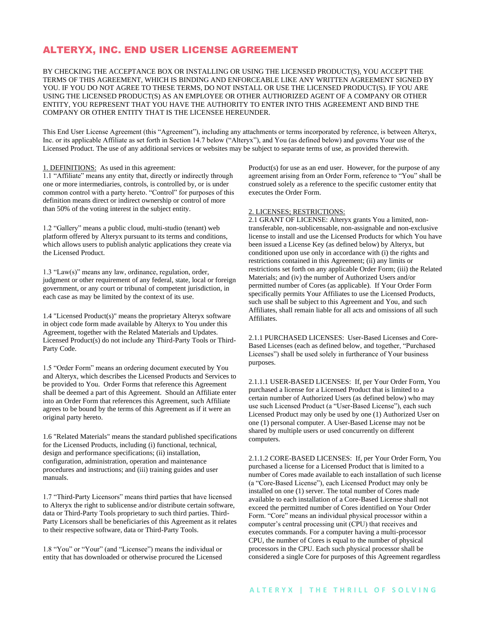# ALTERYX, INC. END USER LICENSE AGREEMENT

BY CHECKING THE ACCEPTANCE BOX OR INSTALLING OR USING THE LICENSED PRODUCT(S), YOU ACCEPT THE TERMS OF THIS AGREEMENT, WHICH IS BINDING AND ENFORCEABLE LIKE ANY WRITTEN AGREEMENT SIGNED BY YOU. IF YOU DO NOT AGREE TO THESE TERMS, DO NOT INSTALL OR USE THE LICENSED PRODUCT(S). IF YOU ARE USING THE LICENSED PRODUCT(S) AS AN EMPLOYEE OR OTHER AUTHORIZED AGENT OF A COMPANY OR OTHER ENTITY, YOU REPRESENT THAT YOU HAVE THE AUTHORITY TO ENTER INTO THIS AGREEMENT AND BIND THE COMPANY OR OTHER ENTITY THAT IS THE LICENSEE HEREUNDER.

This End User License Agreement (this "Agreement"), including any attachments or terms incorporated by reference, is between Alteryx, Inc. or its applicable Affiliate as set forth in Section 14.7 below ("Alteryx"), and You (as defined below) and governs Your use of the Licensed Product. The use of any additional services or websites may be subject to separate terms of use, as provided therewith.

#### 1. DEFINITIONS: As used in this agreement:

1.1 "Affiliate" means any entity that, directly or indirectly through one or more intermediaries, controls, is controlled by, or is under common control with a party hereto. "Control" for purposes of this definition means direct or indirect ownership or control of more than 50% of the voting interest in the subject entity.

1.2 "Gallery" means a public cloud, multi-studio (tenant) web platform offered by Alteryx pursuant to its terms and conditions, which allows users to publish analytic applications they create via the Licensed Product.

1.3 "Law(s)" means any law, ordinance, regulation, order, judgment or other requirement of any federal, state, local or foreign government, or any court or tribunal of competent jurisdiction, in each case as may be limited by the context of its use.

1.4 "Licensed Product(s)" means the proprietary Alteryx software in object code form made available by Alteryx to You under this Agreement, together with the Related Materials and Updates. Licensed Product(s) do not include any Third-Party Tools or Third-Party Code.

1.5 "Order Form" means an ordering document executed by You and Alteryx, which describes the Licensed Products and Services to be provided to You. Order Forms that reference this Agreement shall be deemed a part of this Agreement. Should an Affiliate enter into an Order Form that references this Agreement, such Affiliate agrees to be bound by the terms of this Agreement as if it were an original party hereto.

1.6 "Related Materials" means the standard published specifications for the Licensed Products, including (i) functional, technical, design and performance specifications; (ii) installation, configuration, administration, operation and maintenance procedures and instructions; and (iii) training guides and user manuals.

1.7 "Third-Party Licensors" means third parties that have licensed to Alteryx the right to sublicense and/or distribute certain software, data or Third-Party Tools proprietary to such third parties. Third-Party Licensors shall be beneficiaries of this Agreement as it relates to their respective software, data or Third-Party Tools.

1.8 "You" or "Your" (and "Licensee") means the individual or entity that has downloaded or otherwise procured the Licensed Product(s) for use as an end user. However, for the purpose of any agreement arising from an Order Form, reference to "You" shall be construed solely as a reference to the specific customer entity that executes the Order Form.

# 2. LICENSES; RESTRICTIONS:

2.1 GRANT OF LICENSE: Alteryx grants You a limited, nontransferable, non-sublicensable, non-assignable and non-exclusive license to install and use the Licensed Products for which You have been issued a License Key (as defined below) by Alteryx, but conditioned upon use only in accordance with (i) the rights and restrictions contained in this Agreement; (ii) any limits or restrictions set forth on any applicable Order Form; (iii) the Related Materials; and (iv) the number of Authorized Users and/or permitted number of Cores (as applicable). If Your Order Form specifically permits Your Affiliates to use the Licensed Products, such use shall be subject to this Agreement and You, and such Affiliates, shall remain liable for all acts and omissions of all such Affiliates.

2.1.1 PURCHASED LICENSES: User-Based Licenses and Core-Based Licenses (each as defined below, and together, "Purchased Licenses") shall be used solely in furtherance of Your business purposes.

2.1.1.1 USER-BASED LICENSES: If, per Your Order Form, You purchased a license for a Licensed Product that is limited to a certain number of Authorized Users (as defined below) who may use such Licensed Product (a "User-Based License"), each such Licensed Product may only be used by one (1) Authorized User on one (1) personal computer. A User-Based License may not be shared by multiple users or used concurrently on different computers.

2.1.1.2 CORE-BASED LICENSES: If, per Your Order Form, You purchased a license for a Licensed Product that is limited to a number of Cores made available to each installation of such license (a "Core-Based License"), each Licensed Product may only be installed on one (1) server. The total number of Cores made available to each installation of a Core-Based License shall not exceed the permitted number of Cores identified on Your Order Form. "Core" means an individual physical processor within a computer's central processing unit (CPU) that receives and executes commands. For a computer having a multi-processor CPU, the number of Cores is equal to the number of physical processors in the CPU. Each such physical processor shall be considered a single Core for purposes of this Agreement regardless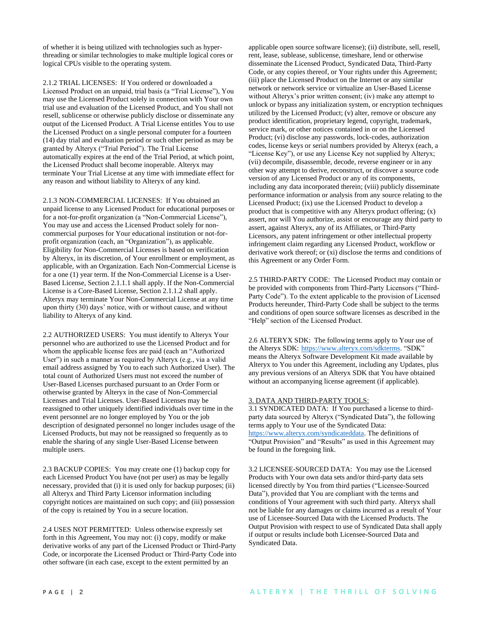of whether it is being utilized with technologies such as hyperthreading or similar technologies to make multiple logical cores or logical CPUs visible to the operating system.

2.1.2 TRIAL LICENSES: If You ordered or downloaded a Licensed Product on an unpaid, trial basis (a "Trial License"), You may use the Licensed Product solely in connection with Your own trial use and evaluation of the Licensed Product, and You shall not resell, sublicense or otherwise publicly disclose or disseminate any output of the Licensed Product. A Trial License entitles You to use the Licensed Product on a single personal computer for a fourteen (14) day trial and evaluation period or such other period as may be granted by Alteryx ("Trial Period"). The Trial License automatically expires at the end of the Trial Period, at which point, the Licensed Product shall become inoperable. Alteryx may terminate Your Trial License at any time with immediate effect for any reason and without liability to Alteryx of any kind.

2.1.3 NON-COMMERCIAL LICENSES: If You obtained an unpaid license to any Licensed Product for educational purposes or for a not-for-profit organization (a "Non-Commercial License"), You may use and access the Licensed Product solely for noncommercial purposes for Your educational institution or not-forprofit organization (each, an "Organization"), as applicable. Eligibility for Non-Commercial Licenses is based on verification by Alteryx, in its discretion, of Your enrollment or employment, as applicable, with an Organization. Each Non-Commercial License is for a one (1) year term. If the Non-Commercial License is a User-Based License, Section 2.1.1.1 shall apply. If the Non-Commercial License is a Core-Based License, Section 2.1.1.2 shall apply. Alteryx may terminate Your Non-Commercial License at any time upon thirty (30) days' notice, with or without cause, and without liability to Alteryx of any kind.

2.2 AUTHORIZED USERS: You must identify to Alteryx Your personnel who are authorized to use the Licensed Product and for whom the applicable license fees are paid (each an "Authorized User") in such a manner as required by Alteryx (e.g., via a valid email address assigned by You to each such Authorized User). The total count of Authorized Users must not exceed the number of User-Based Licenses purchased pursuant to an Order Form or otherwise granted by Alteryx in the case of Non-Commercial Licenses and Trial Licenses. User-Based Licenses may be reassigned to other uniquely identified individuals over time in the event personnel are no longer employed by You or the job description of designated personnel no longer includes usage of the Licensed Products, but may not be reassigned so frequently as to enable the sharing of any single User-Based License between multiple users.

2.3 BACKUP COPIES: You may create one (1) backup copy for each Licensed Product You have (not per user) as may be legally necessary, provided that (i) it is used only for backup purposes; (ii) all Alteryx and Third Party Licensor information including copyright notices are maintained on such copy; and (iii) possession of the copy is retained by You in a secure location.

2.4 USES NOT PERMITTED: Unless otherwise expressly set forth in this Agreement, You may not: (i) copy, modify or make derivative works of any part of the Licensed Product or Third-Party Code, or incorporate the Licensed Product or Third-Party Code into other software (in each case, except to the extent permitted by an

applicable open source software license); (ii) distribute, sell, resell, rent, lease, sublease, sublicense, timeshare, lend or otherwise disseminate the Licensed Product, Syndicated Data, Third-Party Code, or any copies thereof, or Your rights under this Agreement; (iii) place the Licensed Product on the Internet or any similar network or network service or virtualize an User-Based License without Alteryx's prior written consent; (iv) make any attempt to unlock or bypass any initialization system, or encryption techniques utilized by the Licensed Product; (v) alter, remove or obscure any product identification, proprietary legend, copyright, trademark, service mark, or other notices contained in or on the Licensed Product; (vi) disclose any passwords, lock-codes, authorization codes, license keys or serial numbers provided by Alteryx (each, a "License Key"), or use any License Key not supplied by Alteryx; (vii) decompile, disassemble, decode, reverse engineer or in any other way attempt to derive, reconstruct, or discover a source code version of any Licensed Product or any of its components, including any data incorporated therein; (viii) publicly disseminate performance information or analysis from any source relating to the Licensed Product; (ix) use the Licensed Product to develop a product that is competitive with any Alteryx product offering;  $(x)$ assert, nor will You authorize, assist or encourage any third party to assert, against Alteryx, any of its Affiliates, or Third-Party Licensors, any patent infringement or other intellectual property infringement claim regarding any Licensed Product, workflow or derivative work thereof; or (xi) disclose the terms and conditions of this Agreement or any Order Form.

2.5 THIRD-PARTY CODE: The Licensed Product may contain or be provided with components from Third-Party Licensors ("Third-Party Code"). To the extent applicable to the provision of Licensed Products hereunder, Third-Party Code shall be subject to the terms and conditions of open source software licenses as described in the "Help" section of the Licensed Product.

2.6 ALTERYX SDK: The following terms apply to Your use of the Alteryx SDK: [https://www.alteryx.com/sdkterms.](https://www.alteryx.com/sdkterms) "SDK" means the Alteryx Software Development Kit made available by Alteryx to You under this Agreement, including any Updates, plus any previous versions of an Alteryx SDK that You have obtained without an accompanying license agreement (if applicable).

## 3. DATA AND THIRD-PARTY TOOLS:

3.1 SYNDICATED DATA: If You purchased a license to thirdparty data sourced by Alteryx ("Syndicated Data"), the following terms apply to Your use of the Syndicated Data: [https://www.alteryx.com/syndicateddata.](https://www.alteryx.com/syndicateddata) The definitions of "Output Provision" and "Results" as used in this Agreement may be found in the foregoing link.

3.2 LICENSEE-SOURCED DATA: You may use the Licensed Products with Your own data sets and/or third-party data sets licensed directly by You from third parties ("Licensee-Sourced Data"), provided that You are compliant with the terms and conditions of Your agreement with such third party. Alteryx shall not be liable for any damages or claims incurred as a result of Your use of Licensee-Sourced Data with the Licensed Products. The Output Provision with respect to use of Syndicated Data shall apply if output or results include both Licensee-Sourced Data and Syndicated Data.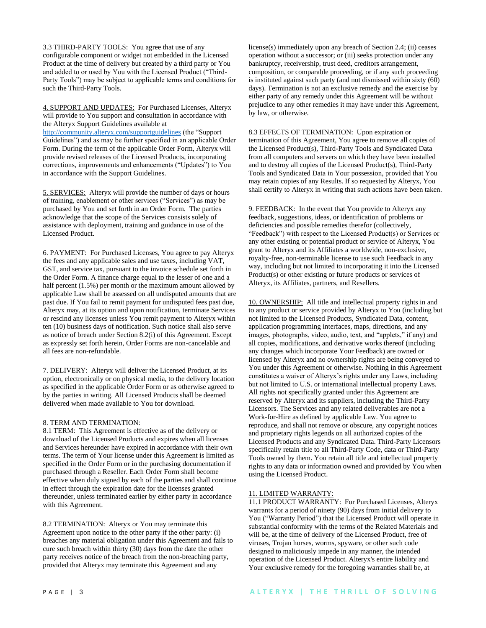3.3 THIRD-PARTY TOOLS: You agree that use of any configurable component or widget not embedded in the Licensed Product at the time of delivery but created by a third party or You and added to or used by You with the Licensed Product ("Third-Party Tools") may be subject to applicable terms and conditions for such the Third-Party Tools.

4. SUPPORT AND UPDATES: For Purchased Licenses, Alteryx will provide to You support and consultation in accordance with the Alteryx Support Guidelines available at <http://community.alteryx.com/supportguidelines> (the "Support Guidelines") and as may be further specified in an applicable Order Form. During the term of the applicable Order Form, Alteryx will provide revised releases of the Licensed Products, incorporating corrections, improvements and enhancements ("Updates") to You in accordance with the Support Guidelines.

5. SERVICES: Alteryx will provide the number of days or hours of training, enablement or other services ("Services") as may be purchased by You and set forth in an Order Form. The parties acknowledge that the scope of the Services consists solely of assistance with deployment, training and guidance in use of the Licensed Product.

6. PAYMENT: For Purchased Licenses, You agree to pay Alteryx the fees and any applicable sales and use taxes, including VAT, GST, and service tax, pursuant to the invoice schedule set forth in the Order Form. A finance charge equal to the lesser of one and a half percent (1.5%) per month or the maximum amount allowed by applicable Law shall be assessed on all undisputed amounts that are past due. If You fail to remit payment for undisputed fees past due, Alteryx may, at its option and upon notification, terminate Services or rescind any licenses unless You remit payment to Alteryx within ten (10) business days of notification. Such notice shall also serve as notice of breach under Section 8.2(i) of this Agreement. Except as expressly set forth herein, Order Forms are non-cancelable and all fees are non-refundable.

7. DELIVERY: Alteryx will deliver the Licensed Product, at its option, electronically or on physical media, to the delivery location as specified in the applicable Order Form or as otherwise agreed to by the parties in writing. All Licensed Products shall be deemed delivered when made available to You for download.

# 8. TERM AND TERMINATION:

8.1 TERM: This Agreement is effective as of the delivery or download of the Licensed Products and expires when all licenses and Services hereunder have expired in accordance with their own terms. The term of Your license under this Agreement is limited as specified in the Order Form or in the purchasing documentation if purchased through a Reseller. Each Order Form shall become effective when duly signed by each of the parties and shall continue in effect through the expiration date for the licenses granted thereunder, unless terminated earlier by either party in accordance with this Agreement.

8.2 TERMINATION: Alteryx or You may terminate this Agreement upon notice to the other party if the other party: (i) breaches any material obligation under this Agreement and fails to cure such breach within thirty (30) days from the date the other party receives notice of the breach from the non-breaching party, provided that Alteryx may terminate this Agreement and any

license(s) immediately upon any breach of Section 2.4; (ii) ceases operation without a successor; or (iii) seeks protection under any bankruptcy, receivership, trust deed, creditors arrangement, composition, or comparable proceeding, or if any such proceeding is instituted against such party (and not dismissed within sixty (60) days). Termination is not an exclusive remedy and the exercise by either party of any remedy under this Agreement will be without prejudice to any other remedies it may have under this Agreement, by law, or otherwise.

8.3 EFFECTS OF TERMINATION: Upon expiration or termination of this Agreement, You agree to remove all copies of the Licensed Product(s), Third-Party Tools and Syndicated Data from all computers and servers on which they have been installed and to destroy all copies of the Licensed Product(s), Third-Party Tools and Syndicated Data in Your possession, provided that You may retain copies of any Results. If so requested by Alteryx, You shall certify to Alteryx in writing that such actions have been taken.

9. FEEDBACK: In the event that You provide to Alteryx any feedback, suggestions, ideas, or identification of problems or deficiencies and possible remedies therefor (collectively, "Feedback") with respect to the Licensed Product(s) or Services or any other existing or potential product or service of Alteryx, You grant to Alteryx and its Affiliates a worldwide, non-exclusive, royalty-free, non-terminable license to use such Feedback in any way, including but not limited to incorporating it into the Licensed Product(s) or other existing or future products or services of Alteryx, its Affiliates, partners, and Resellers.

10. OWNERSHIP: All title and intellectual property rights in and to any product or service provided by Alteryx to You (including but not limited to the Licensed Products, Syndicated Data, content, application programming interfaces, maps, directions, and any images, photographs, video, audio, text, and "applets," if any) and all copies, modifications, and derivative works thereof (including any changes which incorporate Your Feedback) are owned or licensed by Alteryx and no ownership rights are being conveyed to You under this Agreement or otherwise. Nothing in this Agreement constitutes a waiver of Alteryx's rights under any Laws, including but not limited to U.S. or international intellectual property Laws. All rights not specifically granted under this Agreement are reserved by Alteryx and its suppliers, including the Third-Party Licensors. The Services and any related deliverables are not a Work-for-Hire as defined by applicable Law. You agree to reproduce, and shall not remove or obscure, any copyright notices and proprietary rights legends on all authorized copies of the Licensed Products and any Syndicated Data. Third-Party Licensors specifically retain title to all Third-Party Code, data or Third-Party Tools owned by them. You retain all title and intellectual property rights to any data or information owned and provided by You when using the Licensed Product.

# 11. LIMITED WARRANTY:

11.1 PRODUCT WARRANTY: For Purchased Licenses, Alteryx warrants for a period of ninety (90) days from initial delivery to You ("Warranty Period") that the Licensed Product will operate in substantial conformity with the terms of the Related Materials and will be, at the time of delivery of the Licensed Product, free of viruses, Trojan horses, worms, spyware, or other such code designed to maliciously impede in any manner, the intended operation of the Licensed Product. Alteryx's entire liability and Your exclusive remedy for the foregoing warranties shall be, at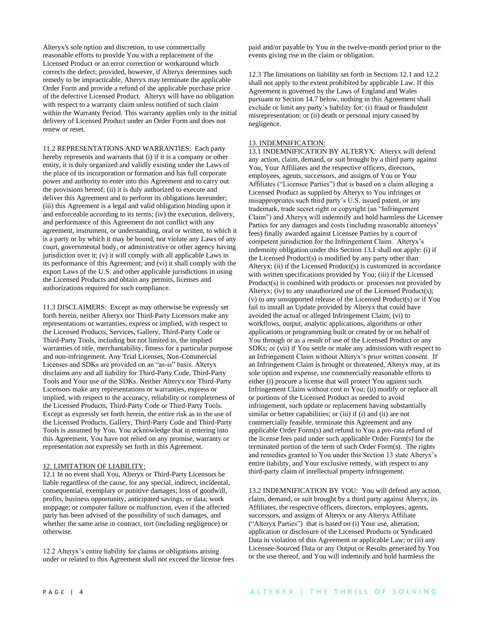Alteryx's sole option and discretion, to use commercially reasonable efforts to provide You with a replacement of the Licensed Product or an error correction or workaround which corrects the defect; provided, however, if Alteryx determines such remedy to be impracticable, Alteryx may terminate the applicable Order Form and provide a refund of the applicable purchase price of the defective Licensed Product. Alteryx will have no obligation with respect to a warranty claim unless notified of such claim within the Warranty Period. This warranty applies only to the initial delivery of Licensed Product under an Order Form and does not renew or reset.

11.2 REPRESENTATIONS AND WARRANTIES: Each party hereby represents and warrants that (i) if it is a company or other entity, it is duly organized and validly existing under the Laws of the place of its incorporation or formation and has full corporate power and authority to enter into this Agreement and to carry out the provisions hereof; (ii) it is duly authorized to execute and deliver this Agreement and to perform its obligations hereunder; (iii) this Agreement is a legal and valid obligation binding upon it and enforceable according to its terms; (iv) the execution, delivery, and performance of this Agreement do not conflict with any agreement, instrument, or understanding, oral or written, to which it is a party or by which it may be bound, nor violate any Laws of any court, governmental body, or administrative or other agency having jurisdiction over it; (v) it will comply with all applicable Laws in its performance of this Agreement; and (vi) it shall comply with the export Laws of the U.S. and other applicable jurisdictions in using the Licensed Products and obtain any permits, licenses and authorizations required for such compliance.

11.3 DISCLAIMERS: Except as may otherwise be expressly set forth herein, neither Alteryx nor Third-Party Licensors make any representations or warranties, express or implied, with respect to the Licensed Products, Services, Gallery, Third-Party Code or Third-Party Tools, including but not limited to, the implied warranties of title, merchantability, fitness for a particular purpose and non-infringement. Any Trial Licenses, Non-Commercial Licenses and SDKs are provided on an "as-is" basis. Alteryx disclaims any and all liability for Third-Party Code, Third-Party Tools and Your use of the SDKs. Neither Alteryx nor Third-Party Licensors make any representations or warranties, express or implied, with respect to the accuracy, reliability or completeness of the Licensed Products, Third-Party Code or Third-Party Tools. Except as expressly set forth herein, the entire risk as to the use of the Licensed Products, Gallery, Third-Party Code and Third-Party Tools is assumed by You. You acknowledge that in entering into this Agreement, You have not relied on any promise, warranty or representation not expressly set forth in this Agreement.

## 12. LIMITATION OF LIABILITY:

12.1 In no event shall You, Alteryx or Third-Party Licensors be liable regardless of the cause, for any special, indirect, incidental, consequential, exemplary or punitive damages; loss of goodwill, profits, business opportunity, anticipated savings, or data; work stoppage; or computer failure or malfunction, even if the affected party has been advised of the possibility of such damages, and whether the same arise in contract, tort (including negligence) or otherwise.

12.2 Alteryx's entire liability for claims or obligations arising under or related to this Agreement shall not exceed the license fees paid and/or payable by You in the twelve-month period prior to the events giving rise to the claim or obligation.

12.3 The limitations on liability set forth in Sections 12.1 and 12.2 shall not apply to the extent prohibited by applicable Law. If this Agreement is governed by the Laws of England and Wales pursuant to Section 14.7 below, nothing in this Agreement shall exclude or limit any party's liability for: (i) fraud or fraudulent misrepresentation; or (ii) death or personal injury caused by negligence.

## 13. INDEMNIFICATION:

13.1 INDEMNIFICATION BY ALTERYX: Alteryx will defend any action, claim, demand, or suit brought by a third party against You, Your Affiliates and the respective officers, directors, employees, agents, successors, and assigns of You or Your Affiliates ("Licensee Parties") that is based on a claim alleging a Licensed Product as supplied by Alteryx to You infringes or misappropriates such third party's U.S. issued patent, or any trademark, trade secret right or copyright (an "Infringement Claim") and Alteryx will indemnify and hold harmless the Licensee Parties for any damages and costs (including reasonable attorneys' fees) finally awarded against Licensee Parties by a court of competent jurisdiction for the Infringement Claim. Alteryx's indemnity obligation under this Section 13.1 shall not apply: (i) if the Licensed Product(s) is modified by any party other than Alteryx; (ii) if the Licensed Product(s) is customized in accordance with written specifications provided by You; (iii) if the Licensed Product(s) is combined with products or processes not provided by Alteryx; (iv) to any unauthorized use of the Licensed Product(s); (v) to any unsupported release of the Licensed Product(s) or if You fail to install an Update provided by Alteryx that could have avoided the actual or alleged Infringement Claim; (vi) to workflows, output, analytic applications, algorithms or other applications or programming built or created by or on behalf of You through or as a result of use of the Licensed Product or any SDKs; or (vii) if You settle or make any admissions with respect to an Infringement Claim without Alteryx's prior written consent. If an Infringement Claim is brought or threatened, Alteryx may, at its sole option and expense, use commercially reasonable efforts to either (i) procure a license that will protect You against such Infringement Claim without cost to You; (ii) modify or replace all or portions of the Licensed Product as needed to avoid infringement, such update or replacement having substantially similar or better capabilities; or (iii) if (i) and (ii) are not commercially feasible, terminate this Agreement and any applicable Order Form(s) and refund to You a pro-rata refund of the license fees paid under such applicable Order Form(s) for the terminated portion of the term of such Order Form(s). The rights and remedies granted to You under this Section 13 state Alteryx's entire liability, and Your exclusive remedy, with respect to any third-party claim of intellectual property infringement.

13.2 INDEMNIFICATION BY YOU: You will defend any action, claim, demand, or suit brought by a third party against Alteryx, its Affiliates, the respective officers, directors, employees, agents, successors, and assigns of Alteryx or any Alteryx Affiliate ("Alteryx Parties") that is based on (i) Your use, alteration, application or disclosure of the Licensed Products or Syndicated Data in violation of this Agreement or applicable Law; or (ii) any Licensee-Sourced Data or any Output or Results generated by You or the use thereof, and You will indemnify and hold harmless the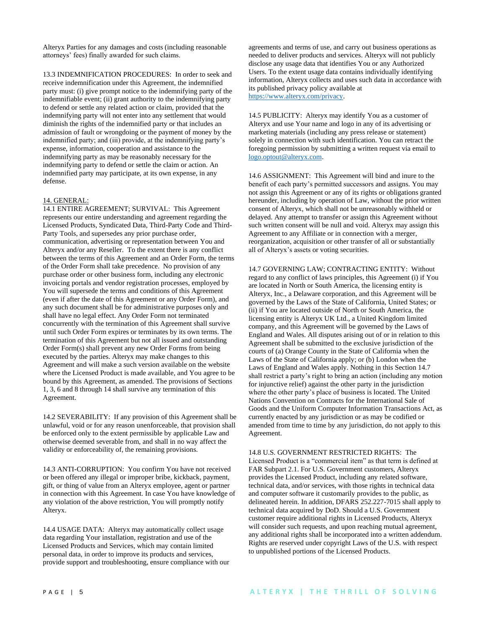Alteryx Parties for any damages and costs (including reasonable attorneys' fees) finally awarded for such claims.

13.3 INDEMNIFICATION PROCEDURES: In order to seek and receive indemnification under this Agreement, the indemnified party must: (i) give prompt notice to the indemnifying party of the indemnifiable event; (ii) grant authority to the indemnifying party to defend or settle any related action or claim, provided that the indemnifying party will not enter into any settlement that would diminish the rights of the indemnified party or that includes an admission of fault or wrongdoing or the payment of money by the indemnified party; and (iii) provide, at the indemnifying party's expense, information, cooperation and assistance to the indemnifying party as may be reasonably necessary for the indemnifying party to defend or settle the claim or action. An indemnified party may participate, at its own expense, in any defense.

## 14. GENERAL:

14.1 ENTIRE AGREEMENT; SURVIVAL: This Agreement represents our entire understanding and agreement regarding the Licensed Products, Syndicated Data, Third-Party Code and Third-Party Tools, and supersedes any prior purchase order, communication, advertising or representation between You and Alteryx and/or any Reseller. To the extent there is any conflict between the terms of this Agreement and an Order Form, the terms of the Order Form shall take precedence. No provision of any purchase order or other business form, including any electronic invoicing portals and vendor registration processes, employed by You will supersede the terms and conditions of this Agreement (even if after the date of this Agreement or any Order Form), and any such document shall be for administrative purposes only and shall have no legal effect. Any Order Form not terminated concurrently with the termination of this Agreement shall survive until such Order Form expires or terminates by its own terms. The termination of this Agreement but not all issued and outstanding Order Form(s) shall prevent any new Order Forms from being executed by the parties. Alteryx may make changes to this Agreement and will make a such version available on the website where the Licensed Product is made available, and You agree to be bound by this Agreement, as amended. The provisions of Sections 1, 3, 6 and 8 through 14 shall survive any termination of this Agreement.

14.2 SEVERABILITY: If any provision of this Agreement shall be unlawful, void or for any reason unenforceable, that provision shall be enforced only to the extent permissible by applicable Law and otherwise deemed severable from, and shall in no way affect the validity or enforceability of, the remaining provisions.

14.3 ANTI-CORRUPTION: You confirm You have not received or been offered any illegal or improper bribe, kickback, payment, gift, or thing of value from an Alteryx employee, agent or partner in connection with this Agreement. In case You have knowledge of any violation of the above restriction, You will promptly notify Alteryx.

14.4 USAGE DATA: Alteryx may automatically collect usage data regarding Your installation, registration and use of the Licensed Products and Services, which may contain limited personal data, in order to improve its products and services, provide support and troubleshooting, ensure compliance with our agreements and terms of use, and carry out business operations as needed to deliver products and services. Alteryx will not publicly disclose any usage data that identifies You or any Authorized Users. To the extent usage data contains individually identifying information, Alteryx collects and uses such data in accordance with its published privacy policy available at [https://www.alteryx.com/privacy.](https://www.alteryx.com/privacy)

14.5 PUBLICITY: Alteryx may identify You as a customer of Alteryx and use Your name and logo in any of its advertising or marketing materials (including any press release or statement) solely in connection with such identification. You can retract the foregoing permission by submitting a written request via email to [logo.optout@alteryx.com.](mailto:logo.optout@alteryx.com) 

14.6 ASSIGNMENT: This Agreement will bind and inure to the benefit of each party's permitted successors and assigns. You may not assign this Agreement or any of its rights or obligations granted hereunder, including by operation of Law, without the prior written consent of Alteryx, which shall not be unreasonably withheld or delayed. Any attempt to transfer or assign this Agreement without such written consent will be null and void. Alteryx may assign this Agreement to any Affiliate or in connection with a merger, reorganization, acquisition or other transfer of all or substantially all of Alteryx's assets or voting securities.

14.7 GOVERNING LAW; CONTRACTING ENTITY: Without regard to any conflict of laws principles, this Agreement (i) if You are located in North or South America, the licensing entity is Alteryx, Inc., a Delaware corporation, and this Agreement will be governed by the Laws of the State of California, United States; or (ii) if You are located outside of North or South America, the licensing entity is Alteryx UK Ltd., a United Kingdom limited company, and this Agreement will be governed by the Laws of England and Wales. All disputes arising out of or in relation to this Agreement shall be submitted to the exclusive jurisdiction of the courts of (a) Orange County in the State of California when the Laws of the State of California apply; or (b) London when the Laws of England and Wales apply. Nothing in this Section 14.7 shall restrict a party's right to bring an action (including any motion for injunctive relief) against the other party in the jurisdiction where the other party's place of business is located. The United Nations Convention on Contracts for the International Sale of Goods and the Uniform Computer Information Transactions Act, as currently enacted by any jurisdiction or as may be codified or amended from time to time by any jurisdiction, do not apply to this Agreement.

14.8 U.S. GOVERNMENT RESTRICTED RIGHTS: The Licensed Product is a "commercial item" as that term is defined at FAR Subpart 2.1. For U.S. Government customers, Alteryx provides the Licensed Product, including any related software, technical data, and/or services, with those rights in technical data and computer software it customarily provides to the public, as delineated herein. In addition, DFARS 252.227-7015 shall apply to technical data acquired by DoD. Should a U.S. Government customer require additional rights in Licensed Products, Alteryx will consider such requests, and upon reaching mutual agreement, any additional rights shall be incorporated into a written addendum. Rights are reserved under copyright Laws of the U.S. with respect to unpublished portions of the Licensed Products.